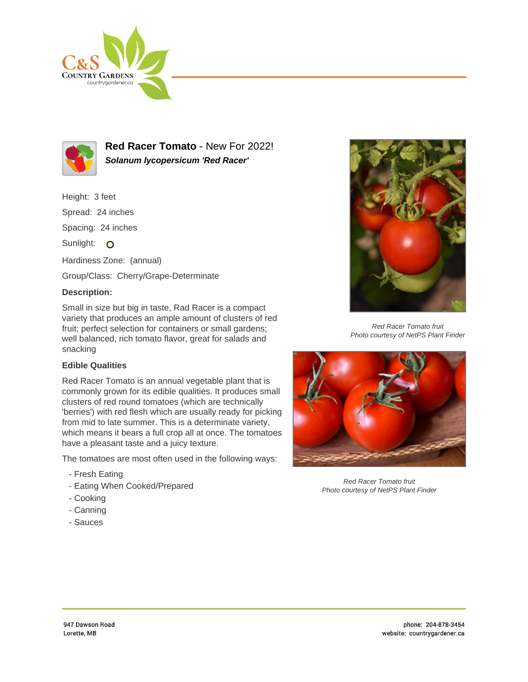



**Red Racer Tomato** - New For 2022! **Solanum lycopersicum 'Red Racer'**

Height: 3 feet Spread: 24 inches Spacing: 24 inches Sunlight: O Hardiness Zone: (annual) Group/Class: Cherry/Grape-Determinate

## **Description:**

Small in size but big in taste, Rad Racer is a compact variety that produces an ample amount of clusters of red fruit; perfect selection for containers or small gardens; well balanced, rich tomato flavor, great for salads and snacking

## **Edible Qualities**

Red Racer Tomato is an annual vegetable plant that is commonly grown for its edible qualities. It produces small clusters of red round tomatoes (which are technically 'berries') with red flesh which are usually ready for picking from mid to late summer. This is a determinate variety, which means it bears a full crop all at once. The tomatoes have a pleasant taste and a juicy texture.

The tomatoes are most often used in the following ways:

- Fresh Eating
- Eating When Cooked/Prepared
- Cooking
- Canning
- Sauces



Red Racer Tomato fruit Photo courtesy of NetPS Plant Finder



Red Racer Tomato fruit Photo courtesy of NetPS Plant Finder